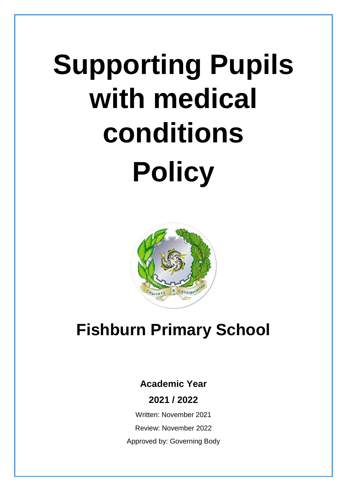# **Supporting Pupils with medical conditions Policy**



# **Fishburn Primary School**

# **Academic Year**

**2021 / 2022**

Written: November 2021 Review: November 2022 Approved by: Governing Body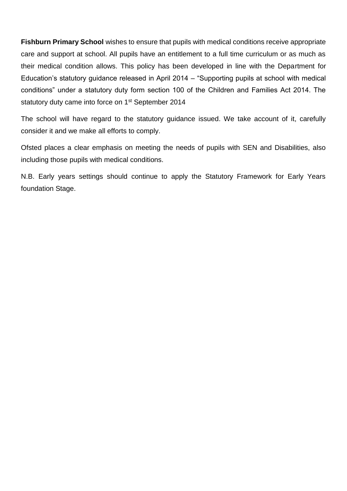**Fishburn Primary School** wishes to ensure that pupils with medical conditions receive appropriate care and support at school. All pupils have an entitlement to a full time curriculum or as much as their medical condition allows. This policy has been developed in line with the Department for Education's statutory guidance released in April 2014 – "Supporting pupils at school with medical conditions" under a statutory duty form section 100 of the Children and Families Act 2014. The statutory duty came into force on 1<sup>st</sup> September 2014

The school will have regard to the statutory guidance issued. We take account of it, carefully consider it and we make all efforts to comply.

Ofsted places a clear emphasis on meeting the needs of pupils with SEN and Disabilities, also including those pupils with medical conditions.

N.B. Early years settings should continue to apply the Statutory Framework for Early Years foundation Stage.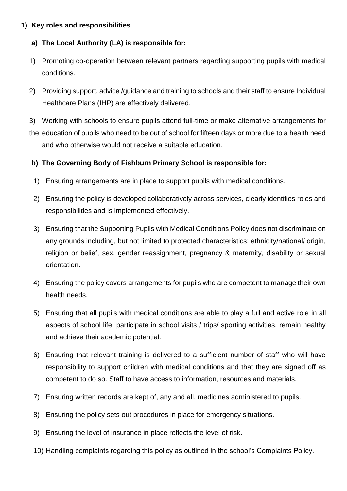# **1) Key roles and responsibilities**

# **a) The Local Authority (LA) is responsible for:**

- 1) Promoting co-operation between relevant partners regarding supporting pupils with medical conditions.
- 2) Providing support, advice /guidance and training to schools and their staff to ensure Individual Healthcare Plans (IHP) are effectively delivered.
- 3) Working with schools to ensure pupils attend full-time or make alternative arrangements for the education of pupils who need to be out of school for fifteen days or more due to a health need and who otherwise would not receive a suitable education.

# **b) The Governing Body of Fishburn Primary School is responsible for:**

- 1) Ensuring arrangements are in place to support pupils with medical conditions.
- 2) Ensuring the policy is developed collaboratively across services, clearly identifies roles and responsibilities and is implemented effectively.
- 3) Ensuring that the Supporting Pupils with Medical Conditions Policy does not discriminate on any grounds including, but not limited to protected characteristics: ethnicity/national/ origin, religion or belief, sex, gender reassignment, pregnancy & maternity, disability or sexual orientation.
- 4) Ensuring the policy covers arrangements for pupils who are competent to manage their own health needs.
- 5) Ensuring that all pupils with medical conditions are able to play a full and active role in all aspects of school life, participate in school visits / trips/ sporting activities, remain healthy and achieve their academic potential.
- 6) Ensuring that relevant training is delivered to a sufficient number of staff who will have responsibility to support children with medical conditions and that they are signed off as competent to do so. Staff to have access to information, resources and materials.
- 7) Ensuring written records are kept of, any and all, medicines administered to pupils.
- 8) Ensuring the policy sets out procedures in place for emergency situations.
- 9) Ensuring the level of insurance in place reflects the level of risk.
- 10) Handling complaints regarding this policy as outlined in the school's Complaints Policy.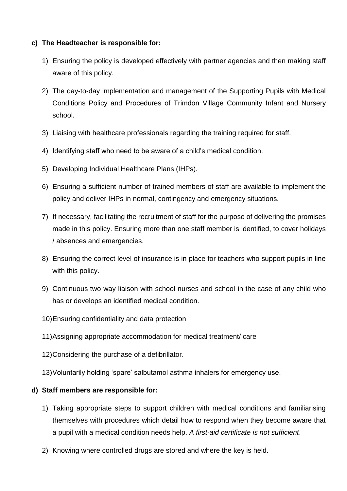# **c) The Headteacher is responsible for:**

- 1) Ensuring the policy is developed effectively with partner agencies and then making staff aware of this policy.
- 2) The day-to-day implementation and management of the Supporting Pupils with Medical Conditions Policy and Procedures of Trimdon Village Community Infant and Nursery school.
- 3) Liaising with healthcare professionals regarding the training required for staff.
- 4) Identifying staff who need to be aware of a child's medical condition.
- 5) Developing Individual Healthcare Plans (IHPs).
- 6) Ensuring a sufficient number of trained members of staff are available to implement the policy and deliver IHPs in normal, contingency and emergency situations.
- 7) If necessary, facilitating the recruitment of staff for the purpose of delivering the promises made in this policy. Ensuring more than one staff member is identified, to cover holidays / absences and emergencies.
- 8) Ensuring the correct level of insurance is in place for teachers who support pupils in line with this policy.
- 9) Continuous two way liaison with school nurses and school in the case of any child who has or develops an identified medical condition.
- 10)Ensuring confidentiality and data protection
- 11)Assigning appropriate accommodation for medical treatment/ care
- 12)Considering the purchase of a defibrillator.
- 13)Voluntarily holding 'spare' salbutamol asthma inhalers for emergency use.

# **d) Staff members are responsible for:**

- 1) Taking appropriate steps to support children with medical conditions and familiarising themselves with procedures which detail how to respond when they become aware that a pupil with a medical condition needs help. *A first-aid certificate is not sufficient*.
- 2) Knowing where controlled drugs are stored and where the key is held.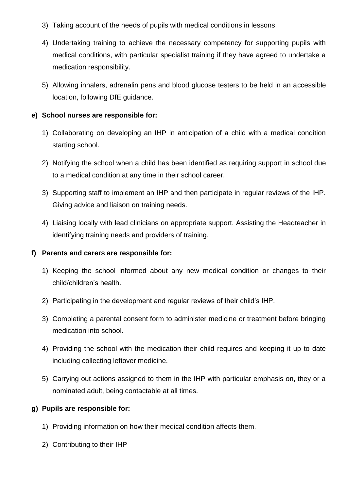- 3) Taking account of the needs of pupils with medical conditions in lessons.
- 4) Undertaking training to achieve the necessary competency for supporting pupils with medical conditions, with particular specialist training if they have agreed to undertake a medication responsibility.
- 5) Allowing inhalers, adrenalin pens and blood glucose testers to be held in an accessible location, following DfE guidance.

# **e) School nurses are responsible for:**

- 1) Collaborating on developing an IHP in anticipation of a child with a medical condition starting school.
- 2) Notifying the school when a child has been identified as requiring support in school due to a medical condition at any time in their school career.
- 3) Supporting staff to implement an IHP and then participate in regular reviews of the IHP. Giving advice and liaison on training needs.
- 4) Liaising locally with lead clinicians on appropriate support. Assisting the Headteacher in identifying training needs and providers of training.

# **f) Parents and carers are responsible for:**

- 1) Keeping the school informed about any new medical condition or changes to their child/children's health.
- 2) Participating in the development and regular reviews of their child's IHP.
- 3) Completing a parental consent form to administer medicine or treatment before bringing medication into school.
- 4) Providing the school with the medication their child requires and keeping it up to date including collecting leftover medicine.
- 5) Carrying out actions assigned to them in the IHP with particular emphasis on, they or a nominated adult, being contactable at all times.

# **g) Pupils are responsible for:**

- 1) Providing information on how their medical condition affects them.
- 2) Contributing to their IHP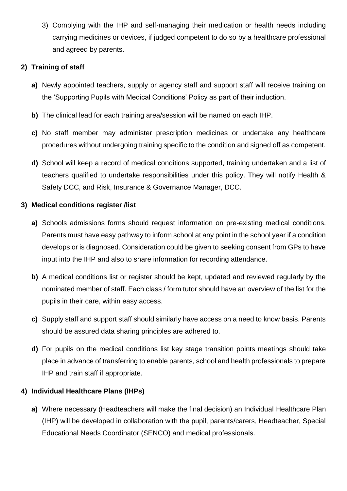3) Complying with the IHP and self-managing their medication or health needs including carrying medicines or devices, if judged competent to do so by a healthcare professional and agreed by parents.

# **2) Training of staff**

- **a)** Newly appointed teachers, supply or agency staff and support staff will receive training on the 'Supporting Pupils with Medical Conditions' Policy as part of their induction.
- **b)** The clinical lead for each training area/session will be named on each IHP.
- **c)** No staff member may administer prescription medicines or undertake any healthcare procedures without undergoing training specific to the condition and signed off as competent.
- **d)** School will keep a record of medical conditions supported, training undertaken and a list of teachers qualified to undertake responsibilities under this policy. They will notify Health & Safety DCC, and Risk, Insurance & Governance Manager, DCC.

# **3) Medical conditions register /list**

- **a)** Schools admissions forms should request information on pre-existing medical conditions. Parents must have easy pathway to inform school at any point in the school year if a condition develops or is diagnosed. Consideration could be given to seeking consent from GPs to have input into the IHP and also to share information for recording attendance.
- **b)** A medical conditions list or register should be kept, updated and reviewed regularly by the nominated member of staff. Each class / form tutor should have an overview of the list for the pupils in their care, within easy access.
- **c)** Supply staff and support staff should similarly have access on a need to know basis. Parents should be assured data sharing principles are adhered to.
- **d)** For pupils on the medical conditions list key stage transition points meetings should take place in advance of transferring to enable parents, school and health professionals to prepare IHP and train staff if appropriate.

# **4) Individual Healthcare Plans (IHPs)**

**a)** Where necessary (Headteachers will make the final decision) an Individual Healthcare Plan (IHP) will be developed in collaboration with the pupil, parents/carers, Headteacher, Special Educational Needs Coordinator (SENCO) and medical professionals.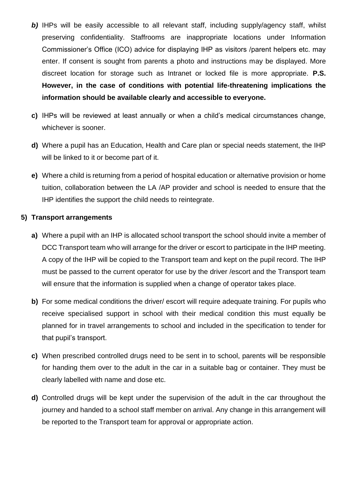- **b)** IHPs will be easily accessible to all relevant staff, including supply/agency staff, whilst preserving confidentiality. Staffrooms are inappropriate locations under Information Commissioner's Office (ICO) advice for displaying IHP as visitors /parent helpers etc. may enter. If consent is sought from parents a photo and instructions may be displayed. More discreet location for storage such as Intranet or locked file is more appropriate. **P.S. However, in the case of conditions with potential life-threatening implications the information should be available clearly and accessible to everyone.**
- **c)** IHPs will be reviewed at least annually or when a child's medical circumstances change, whichever is sooner.
- **d)** Where a pupil has an Education, Health and Care plan or special needs statement, the IHP will be linked to it or become part of it.
- **e)** Where a child is returning from a period of hospital education or alternative provision or home tuition, collaboration between the LA /AP provider and school is needed to ensure that the IHP identifies the support the child needs to reintegrate.

#### **5) Transport arrangements**

- **a)** Where a pupil with an IHP is allocated school transport the school should invite a member of DCC Transport team who will arrange for the driver or escort to participate in the IHP meeting. A copy of the IHP will be copied to the Transport team and kept on the pupil record. The IHP must be passed to the current operator for use by the driver /escort and the Transport team will ensure that the information is supplied when a change of operator takes place.
- **b)** For some medical conditions the driver/ escort will require adequate training. For pupils who receive specialised support in school with their medical condition this must equally be planned for in travel arrangements to school and included in the specification to tender for that pupil's transport.
- **c)** When prescribed controlled drugs need to be sent in to school, parents will be responsible for handing them over to the adult in the car in a suitable bag or container. They must be clearly labelled with name and dose etc.
- **d)** Controlled drugs will be kept under the supervision of the adult in the car throughout the journey and handed to a school staff member on arrival. Any change in this arrangement will be reported to the Transport team for approval or appropriate action.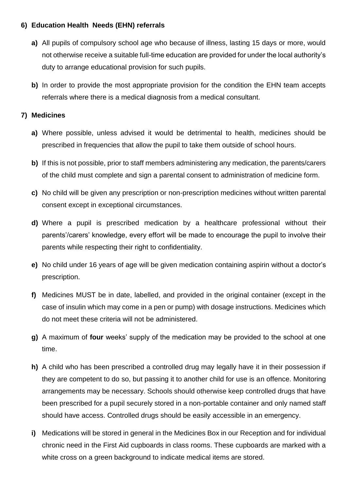# **6) Education Health Needs (EHN) referrals**

- **a)** All pupils of compulsory school age who because of illness, lasting 15 days or more, would not otherwise receive a suitable full-time education are provided for under the local authority's duty to arrange educational provision for such pupils.
- **b)** In order to provide the most appropriate provision for the condition the EHN team accepts referrals where there is a medical diagnosis from a medical consultant.

# **7) Medicines**

- **a)** Where possible, unless advised it would be detrimental to health, medicines should be prescribed in frequencies that allow the pupil to take them outside of school hours.
- **b)** If this is not possible, prior to staff members administering any medication, the parents/carers of the child must complete and sign a parental consent to administration of medicine form.
- **c)** No child will be given any prescription or non-prescription medicines without written parental consent except in exceptional circumstances.
- **d)** Where a pupil is prescribed medication by a healthcare professional without their parents'/carers' knowledge, every effort will be made to encourage the pupil to involve their parents while respecting their right to confidentiality.
- **e)** No child under 16 years of age will be given medication containing aspirin without a doctor's prescription.
- **f)** Medicines MUST be in date, labelled, and provided in the original container (except in the case of insulin which may come in a pen or pump) with dosage instructions. Medicines which do not meet these criteria will not be administered.
- **g)** A maximum of **four** weeks' supply of the medication may be provided to the school at one time.
- **h)** A child who has been prescribed a controlled drug may legally have it in their possession if they are competent to do so, but passing it to another child for use is an offence. Monitoring arrangements may be necessary. Schools should otherwise keep controlled drugs that have been prescribed for a pupil securely stored in a non-portable container and only named staff should have access. Controlled drugs should be easily accessible in an emergency.
- **i)** Medications will be stored in general in the Medicines Box in our Reception and for individual chronic need in the First Aid cupboards in class rooms. These cupboards are marked with a white cross on a green background to indicate medical items are stored.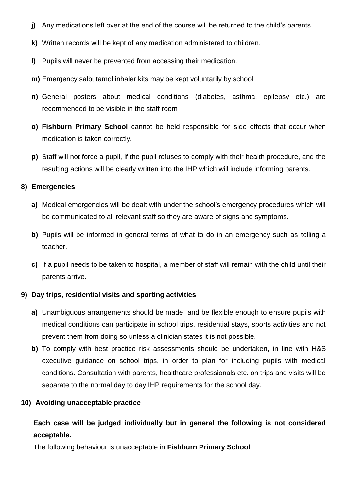- **j)** Any medications left over at the end of the course will be returned to the child's parents.
- **k)** Written records will be kept of any medication administered to children.
- **l)** Pupils will never be prevented from accessing their medication.
- **m)** Emergency salbutamol inhaler kits may be kept voluntarily by school
- **n)** General posters about medical conditions (diabetes, asthma, epilepsy etc.) are recommended to be visible in the staff room
- **o) Fishburn Primary School** cannot be held responsible for side effects that occur when medication is taken correctly.
- **p)** Staff will not force a pupil, if the pupil refuses to comply with their health procedure, and the resulting actions will be clearly written into the IHP which will include informing parents.

#### **8) Emergencies**

- **a)** Medical emergencies will be dealt with under the school's emergency procedures which will be communicated to all relevant staff so they are aware of signs and symptoms.
- **b)** Pupils will be informed in general terms of what to do in an emergency such as telling a teacher.
- **c)** If a pupil needs to be taken to hospital, a member of staff will remain with the child until their parents arrive.

#### **9) Day trips, residential visits and sporting activities**

- **a)** Unambiguous arrangements should be made and be flexible enough to ensure pupils with medical conditions can participate in school trips, residential stays, sports activities and not prevent them from doing so unless a clinician states it is not possible.
- **b)** To comply with best practice risk assessments should be undertaken, in line with H&S executive guidance on school trips, in order to plan for including pupils with medical conditions. Consultation with parents, healthcare professionals etc. on trips and visits will be separate to the normal day to day IHP requirements for the school day.

#### **10) Avoiding unacceptable practice**

# **Each case will be judged individually but in general the following is not considered acceptable.**

The following behaviour is unacceptable in **Fishburn Primary School**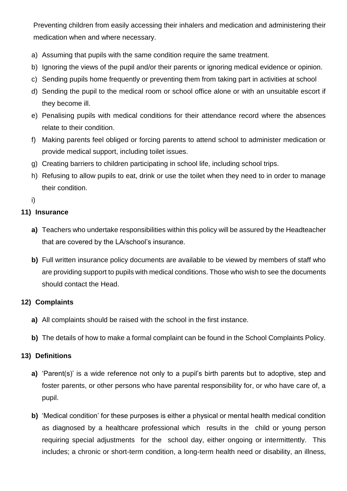Preventing children from easily accessing their inhalers and medication and administering their medication when and where necessary.

- a) Assuming that pupils with the same condition require the same treatment.
- b) Ignoring the views of the pupil and/or their parents or ignoring medical evidence or opinion.
- c) Sending pupils home frequently or preventing them from taking part in activities at school
- d) Sending the pupil to the medical room or school office alone or with an unsuitable escort if they become ill.
- e) Penalising pupils with medical conditions for their attendance record where the absences relate to their condition.
- f) Making parents feel obliged or forcing parents to attend school to administer medication or provide medical support, including toilet issues.
- g) Creating barriers to children participating in school life, including school trips.
- h) Refusing to allow pupils to eat, drink or use the toilet when they need to in order to manage their condition.

i)

# **11) Insurance**

- **a)** Teachers who undertake responsibilities within this policy will be assured by the Headteacher that are covered by the LA/school's insurance.
- **b)** Full written insurance policy documents are available to be viewed by members of staff who are providing support to pupils with medical conditions. Those who wish to see the documents should contact the Head.

# **12) Complaints**

- **a)** All complaints should be raised with the school in the first instance.
- **b)** The details of how to make a formal complaint can be found in the School Complaints Policy.

# **13) Definitions**

- **a)** 'Parent(s)' is a wide reference not only to a pupil's birth parents but to adoptive, step and foster parents, or other persons who have parental responsibility for, or who have care of, a pupil.
- **b)** 'Medical condition' for these purposes is either a physical or mental health medical condition as diagnosed by a healthcare professional which results in the child or young person requiring special adjustments for the school day, either ongoing or intermittently. This includes; a chronic or short-term condition, a long-term health need or disability, an illness,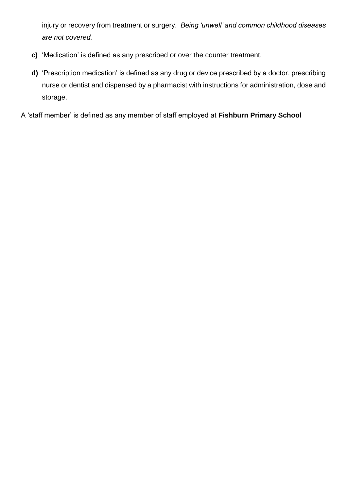injury or recovery from treatment or surgery. *Being 'unwell' and common childhood diseases are not covered.* 

- **c)** 'Medication' is defined as any prescribed or over the counter treatment.
- **d)** 'Prescription medication' is defined as any drug or device prescribed by a doctor, prescribing nurse or dentist and dispensed by a pharmacist with instructions for administration, dose and storage.

A 'staff member' is defined as any member of staff employed at **Fishburn Primary School**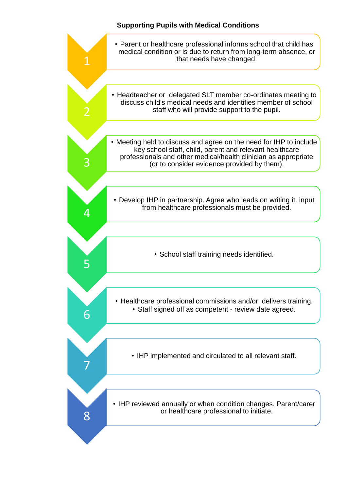### **Supporting Pupils with Medical Conditions**

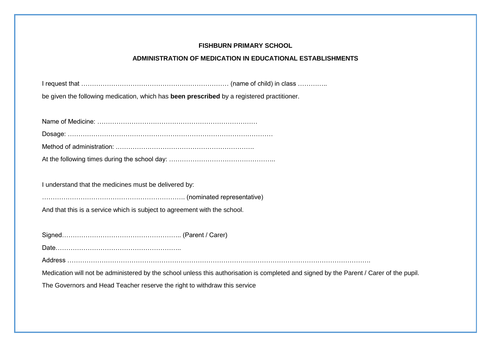# **FISHBURN PRIMARY SCHOOL**

#### **ADMINISTRATION OF MEDICATION IN EDUCATIONAL ESTABLISHMENTS**

| be given the following medication, which has been prescribed by a registered practitioner. |                                                                                                                                         |
|--------------------------------------------------------------------------------------------|-----------------------------------------------------------------------------------------------------------------------------------------|
|                                                                                            |                                                                                                                                         |
|                                                                                            |                                                                                                                                         |
|                                                                                            |                                                                                                                                         |
|                                                                                            |                                                                                                                                         |
|                                                                                            |                                                                                                                                         |
|                                                                                            |                                                                                                                                         |
| I understand that the medicines must be delivered by:                                      |                                                                                                                                         |
|                                                                                            |                                                                                                                                         |
| And that this is a service which is subject to agreement with the school.                  |                                                                                                                                         |
|                                                                                            |                                                                                                                                         |
|                                                                                            |                                                                                                                                         |
|                                                                                            |                                                                                                                                         |
|                                                                                            |                                                                                                                                         |
|                                                                                            | Medication will not be administered by the school unless this authorisation is completed and signed by the Parent / Carer of the pupil. |
| The Governors and Head Teacher reserve the right to withdraw this service                  |                                                                                                                                         |
|                                                                                            |                                                                                                                                         |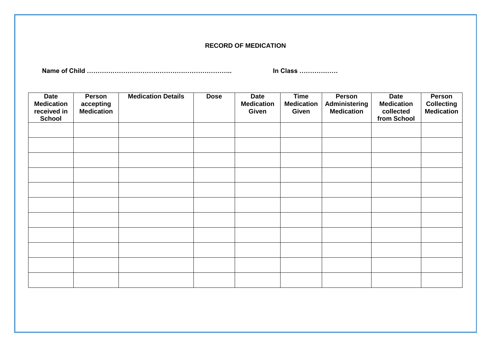#### **RECORD OF MEDICATION**

**Name of Child ………………………………………………………….. In Class ………………**

| <b>Date</b><br><b>Medication</b><br>received in<br><b>School</b> | <b>Person</b><br>accepting<br><b>Medication</b> | <b>Medication Details</b> | <b>Dose</b> | <b>Date</b><br><b>Medication</b><br>Given | <b>Time</b><br><b>Medication</b><br>Given | Person<br>Administering<br><b>Medication</b> | Date<br><b>Medication</b><br>collected<br>from School | Person<br><b>Collecting</b><br><b>Medication</b> |
|------------------------------------------------------------------|-------------------------------------------------|---------------------------|-------------|-------------------------------------------|-------------------------------------------|----------------------------------------------|-------------------------------------------------------|--------------------------------------------------|
|                                                                  |                                                 |                           |             |                                           |                                           |                                              |                                                       |                                                  |
|                                                                  |                                                 |                           |             |                                           |                                           |                                              |                                                       |                                                  |
|                                                                  |                                                 |                           |             |                                           |                                           |                                              |                                                       |                                                  |
|                                                                  |                                                 |                           |             |                                           |                                           |                                              |                                                       |                                                  |
|                                                                  |                                                 |                           |             |                                           |                                           |                                              |                                                       |                                                  |
|                                                                  |                                                 |                           |             |                                           |                                           |                                              |                                                       |                                                  |
|                                                                  |                                                 |                           |             |                                           |                                           |                                              |                                                       |                                                  |
|                                                                  |                                                 |                           |             |                                           |                                           |                                              |                                                       |                                                  |
|                                                                  |                                                 |                           |             |                                           |                                           |                                              |                                                       |                                                  |
|                                                                  |                                                 |                           |             |                                           |                                           |                                              |                                                       |                                                  |
|                                                                  |                                                 |                           |             |                                           |                                           |                                              |                                                       |                                                  |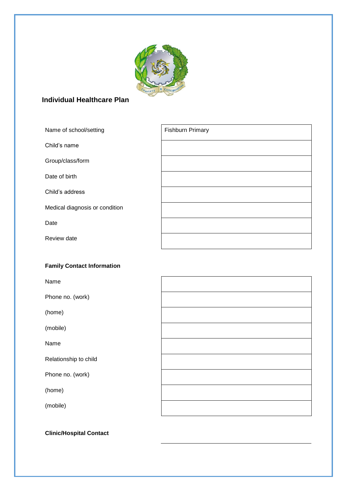

# **Individual Healthcare Plan**

| Name of school/setting         | <b>Fishburn Primary</b> |
|--------------------------------|-------------------------|
| Child's name                   |                         |
| Group/class/form               |                         |
| Date of birth                  |                         |
| Child's address                |                         |
| Medical diagnosis or condition |                         |
| Date                           |                         |
| Review date                    |                         |
|                                |                         |

# **Family Contact Information**

Name

Phone no. (work)

(home)

(mobile)

Name

Relationship to child

Phone no. (work)

(home)

(mobile)

**Clinic/Hospital Contact**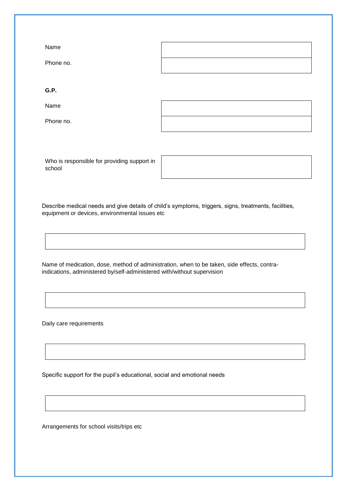| Name      |  |
|-----------|--|
| Phone no. |  |

**G.P.**

Name

Phone no.

Who is responsible for providing support in school

Describe medical needs and give details of child's symptoms, triggers, signs, treatments, facilities, equipment or devices, environmental issues etc

Name of medication, dose, method of administration, when to be taken, side effects, contraindications, administered by/self-administered with/without supervision

Daily care requirements

Specific support for the pupil's educational, social and emotional needs

Arrangements for school visits/trips etc